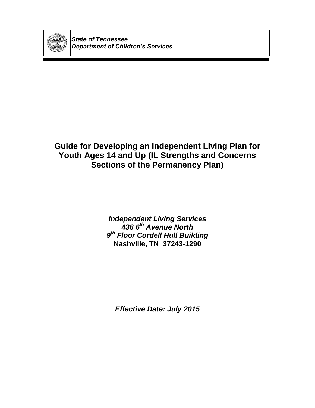

*State of Tennessee Department of Children's Services*

## **Guide for Developing an Independent Living Plan for Youth Ages 14 and Up (IL Strengths and Concerns Sections of the Permanency Plan)**

*Independent Living Services 436 6th Avenue North 9 th Floor Cordell Hull Building* **Nashville, TN 37243-1290**

*Effective Date: July 2015*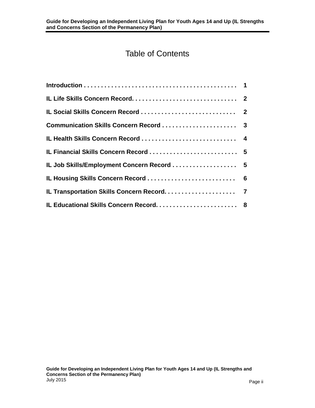# Table of Contents

| IL Financial Skills Concern Record  5      |  |
|--------------------------------------------|--|
| IL Job Skills/Employment Concern Record  5 |  |
|                                            |  |
|                                            |  |
|                                            |  |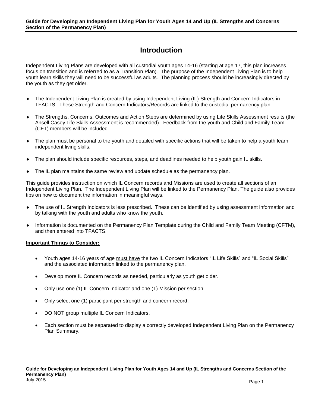### **Introduction**

Independent Living Plans are developed with all custodial youth ages 14-16 (starting at age 17, this plan increases focus on transition and is referred to as a Transition Plan). The purpose of the Independent Living Plan is to help youth learn skills they will need to be successful as adults. The planning process should be increasingly directed by the youth as they get older.

- The Independent Living Plan is created by using Independent Living (IL) Strength and Concern Indicators in TFACTS. These Strength and Concern Indicators/Records are linked to the custodial permanency plan.
- The Strengths, Concerns, Outcomes and Action Steps are determined by using Life Skills Assessment results (the Ansell Casey Life Skills Assessment is recommended). Feedback from the youth and Child and Family Team (CFT) members will be included.
- The plan must be personal to the youth and detailed with specific actions that will be taken to help a youth learn independent living skills.
- The plan should include specific resources, steps, and deadlines needed to help youth gain IL skills.
- The IL plan maintains the same review and update schedule as the permanency plan.

This guide provides instruction on which IL Concern records and Missions are used to create all sections of an Independent Living Plan. The Independent Living Plan will be linked to the Permanency Plan. The guide also provides tips on how to document the information in meaningful ways.

- The use of IL Strength Indicators is less prescribed. These can be identified by using assessment information and by talking with the youth and adults who know the youth.
- Information is documented on the Permanency Plan Template during the Child and Family Team Meeting (CFTM), and then entered into TFACTS.

#### **Important Things to Consider:**

- Youth ages 14-16 years of age must have the two IL Concern Indicators "IL Life Skills" and "IL Social Skills" and the associated information linked to the permanency plan.
- Develop more IL Concern records as needed, particularly as youth get older.
- Only use one (1) IL Concern Indicator and one (1) Mission per section.
- Only select one (1) participant per strength and concern record.
- DO NOT group multiple IL Concern Indicators.
- Each section must be separated to display a correctly developed Independent Living Plan on the Permanency Plan Summary.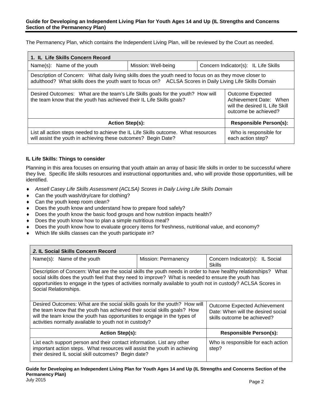The Permanency Plan, which contains the Independent Living Plan, will be reviewed by the Court as needed.

| 1. IL Life Skills Concern Record                                                                                                                                                                                                                                 |  |  |                                             |
|------------------------------------------------------------------------------------------------------------------------------------------------------------------------------------------------------------------------------------------------------------------|--|--|---------------------------------------------|
| Name(s): Name of the youth<br>Mission: Well-being                                                                                                                                                                                                                |  |  | Concern Indicator(s): IL Life Skills        |
| Description of Concern: What daily living skills does the youth need to focus on as they move closer to<br>adulthood? What skills does the youth want to focus on? ACLSA Scores in Daily Living Life Skills Domain                                               |  |  |                                             |
| Desired Outcomes: What are the team's Life Skills goals for the youth? How will<br>Outcome Expected<br>the team know that the youth has achieved their IL Life Skills goals?<br>Achievement Date: When<br>will the desired IL Life Skill<br>outcome be achieved? |  |  |                                             |
| <b>Action Step(s):</b><br><b>Responsible Person(s):</b>                                                                                                                                                                                                          |  |  |                                             |
| List all action steps needed to achieve the IL Life Skills outcome. What resources<br>will assist the youth in achieving these outcomes? Begin Date?                                                                                                             |  |  | Who is responsible for<br>each action step? |

#### **IL Life Skills: Things to consider**

Planning in this area focuses on ensuring that youth attain an array of basic life skills in order to be successful where they live. Specific life skills resources and instructional opportunities and, who will provide those opportunities, will be identified.

- *Ansell Casey Life Skills Assessment (ACLSA) Scores in Daily Living Life Skills Domain*
- Can the youth wash/dry/care for clothing?
- ◆ Can the youth keep room clean?
- Does the youth know and understand how to prepare food safely?
- ◆ Does the youth know the basic food groups and how nutrition impacts health?
- Does the youth know how to plan a simple nutritious meal?
- Does the youth know how to evaluate grocery items for freshness, nutritional value, and economy?
- Which life skills classes can the youth participate in?

| 2. IL Social Skills Concern Record                                                                                                                                                                                                                                                                                                                                                                       |                     |                                             |  |
|----------------------------------------------------------------------------------------------------------------------------------------------------------------------------------------------------------------------------------------------------------------------------------------------------------------------------------------------------------------------------------------------------------|---------------------|---------------------------------------------|--|
| Name(s): Name of the youth                                                                                                                                                                                                                                                                                                                                                                               | Mission: Permanency | Concern Indicator(s): IL Social<br>Skills   |  |
| Description of Concern: What are the social skills the youth needs in order to have healthy relationships?<br>What<br>social skills does the youth feel that they need to improve? What is needed to ensure the youth has<br>opportunities to engage in the types of activities normally available to youth not in custody? ACLSA Scores in<br>Social Relationships.                                     |                     |                                             |  |
| Desired Outcomes: What are the social skills goals for the youth? How will<br><b>Outcome Expected Achievement</b><br>the team know that the youth has achieved their social skills goals? How<br>Date: When will the desired social<br>will the team know the youth has opportunities to engage in the types of<br>skills outcome be achieved?<br>activities normally available to youth not in custody? |                     |                                             |  |
| <b>Action Step(s):</b><br><b>Responsible Person(s):</b>                                                                                                                                                                                                                                                                                                                                                  |                     |                                             |  |
| List each support person and their contact information. List any other<br>important action steps. What resources will assist the youth in achieving<br>their desired IL social skill outcomes? Begin date?                                                                                                                                                                                               |                     | Who is responsible for each action<br>step? |  |

### **Guide for Developing an Independent Living Plan for Youth Ages 14 and Up (IL Strengths and Concerns Section of the Permanency Plan)**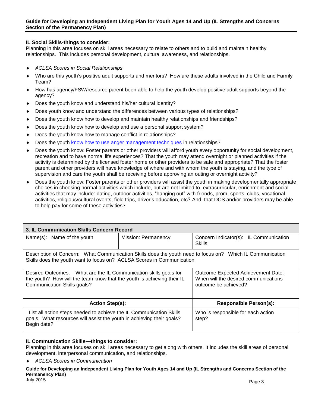#### **IL Social Skills-things to consider:**

Planning in this area focuses on skill areas necessary to relate to others and to build and maintain healthy relationships. This includes personal development, cultural awareness, and relationships.

- *ACLSA Scores in Social Relationships*
- Who are this youth's positive adult supports and mentors? How are these adults involved in the Child and Family Team?
- How has agency/FSW/resource parent been able to help the youth develop positive adult supports beyond the agency?
- Does the youth know and understand his/her cultural identity?
- Does youth know and understand the differences between various types of relationships?
- Does the youth know how to develop and maintain healthy relationships and friendships?
- Does the youth know how to develop and use a personal support system?
- Does the youth know how to manage conflict in relationships?
- [Does the youth know how to use anger management techniques](http://www.caseylifeskills.org/pages/lp/lp_comm_communication.htm?id=5#competency24) in relationships?
- Does the youth know: Foster parents or other providers will afford youth every opportunity for social development, recreation and to have normal life experiences? That the youth may attend overnight or planned activities if the activity is determined by the licensed foster home or other providers to be safe and appropriate? That the foster parent and other providers will have knowledge of where and with whom the youth is staying, and the type of supervision and care the youth shall be receiving before approving an outing or overnight activity?
- Does the youth know: Foster parents or other providers will assist the youth in making developmentally appropriate choices in choosing normal activities which include, but are not limited to, extracurricular, enrichment and social activities that may include: dating, outdoor activities, "hanging out" with friends, prom, sports, clubs, vocational activities, religious/cultural events, field trips, driver's education, etc? And, that DCS and/or providers may be able to help pay for some of these activities?

| 3. IL Communication Skills Concern Record                                                                                                                                                                                                                                       |                     |                                                  |  |
|---------------------------------------------------------------------------------------------------------------------------------------------------------------------------------------------------------------------------------------------------------------------------------|---------------------|--------------------------------------------------|--|
| Name(s): Name of the youth                                                                                                                                                                                                                                                      | Mission: Permanency | Concern Indicator(s): IL Communication<br>Skills |  |
| Description of Concern: What Communication Skills does the youth need to focus on? Which IL Communication<br>Skills does the youth want to focus on? ACLSA Scores in Communication                                                                                              |                     |                                                  |  |
| Desired Outcomes: What are the IL Communication skills goals for<br>Outcome Expected Achievement Date:<br>When will the desired communications<br>the youth? How will the team know that the youth is achieving their IL<br>Communication Skills goals?<br>outcome be achieved? |                     |                                                  |  |
| <b>Action Step(s):</b><br><b>Responsible Person(s):</b>                                                                                                                                                                                                                         |                     |                                                  |  |
| List all action steps needed to achieve the IL Communication Skills<br>goals. What resources will assist the youth in achieving their goals?<br>Begin date?                                                                                                                     |                     | Who is responsible for each action<br>step?      |  |

#### **IL Communication Skills—things to consider:**

Planning in this area focuses on skill areas necessary to get along with others. It includes the skill areas of personal development, interpersonal communication, and relationships.

*ACLSA Scores in Communication*

**Guide for Developing an Independent Living Plan for Youth Ages 14 and Up (IL Strengths and Concerns Section of the Permanency Plan)**

July 2015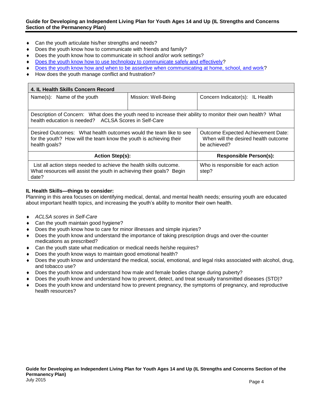#### **Guide for Developing an Independent Living Plan for Youth Ages 14 and Up (IL Strengths and Concerns Section of the Permanency Plan)**

- Can the youth articulate his/her strengths and needs?
- Does the youth know how to communicate with friends and family?
- Does the youth know how to communicate in school and/or work settings?
- [Does the youth know how to use technology to communicate safely and effectively?](http://www.caseylifeskills.org/pages/lp/lp_comm_communication.htm?id=5#competency21)
- [Does the youth know how and when to be assertive when communicating at home, school, and work?](http://www.caseylifeskills.org/pages/lp/lp_comm_communication.htm?id=5#competency22)
- How does the youth manage conflict and frustration?

| 4. IL Health Skills Concern Record                                                                                                                                                                                                                     |                     |                                             |  |
|--------------------------------------------------------------------------------------------------------------------------------------------------------------------------------------------------------------------------------------------------------|---------------------|---------------------------------------------|--|
| Name(s): Name of the youth                                                                                                                                                                                                                             | Mission: Well-Being | Concern Indicator(s): IL Health             |  |
|                                                                                                                                                                                                                                                        |                     |                                             |  |
| Description of Concern: What does the youth need to increase their ability to monitor their own health? What<br>health education is needed? ACLSA Scores in Self-Care                                                                                  |                     |                                             |  |
| Desired Outcomes: What health outcomes would the team like to see<br>Outcome Expected Achievement Date:<br>When will the desired health outcome<br>for the youth? How will the team know the youth is achieving their<br>health goals?<br>be achieved? |                     |                                             |  |
| <b>Action Step(s):</b><br><b>Responsible Person(s):</b>                                                                                                                                                                                                |                     |                                             |  |
| List all action steps needed to achieve the health skills outcome.<br>What resources will assist the youth in achieving their goals? Begin<br>date?                                                                                                    |                     | Who is responsible for each action<br>step? |  |

#### **IL Health Skills—things to consider:**

Planning in this area focuses on identifying medical, dental, and mental health needs; ensuring youth are educated about important health topics, and increasing the youth's ability to monitor their own health.

- *ACLSA scores in Self-Care*
- Can the youth maintain good hygiene?
- Does the youth know how to care for minor illnesses and simple injuries?
- Does the youth know and understand the importance of taking prescription drugs and over-the-counter medications as prescribed?
- Can the youth state what medication or medical needs he/she requires?
- Does the youth know ways to maintain good emotional health?
- Does the youth know and understand the medical, social, emotional, and legal risks associated with alcohol, drug, and tobacco use?
- ◆ Does the youth know and understand how male and female bodies change during puberty?
- Does the youth know and understand how to prevent, detect, and treat sexually transmitted diseases (STD)?
- Does the youth know and understand how to prevent pregnancy, the symptoms of pregnancy, and reproductive health resources?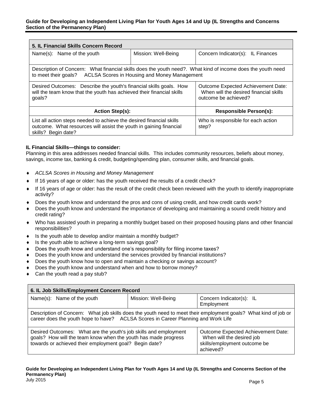| 5. IL Financial Skills Concern Record                                                                                                                                                                                                                         |                     |                                             |  |
|---------------------------------------------------------------------------------------------------------------------------------------------------------------------------------------------------------------------------------------------------------------|---------------------|---------------------------------------------|--|
| Name(s): Name of the youth                                                                                                                                                                                                                                    | Mission: Well-Being | Concern Indicator(s): IL Finances           |  |
|                                                                                                                                                                                                                                                               |                     |                                             |  |
| Description of Concern: What financial skills does the youth need?. What kind of income does the youth need<br>ACLSA Scores in Housing and Money Management<br>to meet their goals?                                                                           |                     |                                             |  |
| Desired Outcomes: Describe the youth's financial skills goals. How<br>Outcome Expected Achievement Date:<br>will the team know that the youth has achieved their financial skills<br>When will the desired financial skills<br>goals?<br>outcome be achieved? |                     |                                             |  |
| <b>Responsible Person(s):</b><br><b>Action Step(s):</b>                                                                                                                                                                                                       |                     |                                             |  |
| List all action steps needed to achieve the desired financial skills<br>outcome. What resources will assist the youth in gaining financial<br>skills? Begin date?                                                                                             |                     | Who is responsible for each action<br>step? |  |

#### **IL Financial Skills—things to consider:**

Planning in this area addresses needed financial skills. This includes community resources, beliefs about money, savings, income tax, banking & credit, budgeting/spending plan, consumer skills, and financial goals.

- *ACLSA Scores in Housing and Money Management*
- If 16 years of age or older: has the youth received the results of a credit check?
- If 16 years of age or older: has the result of the credit check been reviewed with the youth to identify inappropriate activity?
- Does the youth know and understand the pros and cons of using credit, and how credit cards work?
- Does the youth know and understand the importance of developing and maintaining a sound credit history and credit rating?
- Who has assisted youth in preparing a monthly budget based on their proposed housing plans and other financial responsibilities?
- Is the youth able to develop and/or maintain a monthly budget?
- Is the youth able to achieve a long-term savings goal?
- Does the youth know and understand one's responsibility for filing income taxes?
- Does the youth know and understand the services provided by financial institutions?
- Does the youth know how to open and maintain a checking or savings account?
- Does the youth know and understand when and how to borrow money?
- Can the youth read a pay stub?

| 6. IL Job Skills/Employment Concern Record                                                                                                                                                                                                                                                                   |                     |                                        |  |
|--------------------------------------------------------------------------------------------------------------------------------------------------------------------------------------------------------------------------------------------------------------------------------------------------------------|---------------------|----------------------------------------|--|
| Name(s): Name of the youth                                                                                                                                                                                                                                                                                   | Mission: Well-Being | Concern Indicator(s): IL<br>Employment |  |
| Description of Concern: What job skills does the youth need to meet their employment goals? What kind of job or<br>career does the youth hope to have? ACLSA Scores in Career Planning and Work Life                                                                                                         |                     |                                        |  |
| Desired Outcomes: What are the youth's job skills and employment<br>Outcome Expected Achievement Date:<br>goals? How will the team know when the youth has made progress<br>When will the desired job<br>towards or achieved their employment goal? Begin date?<br>skills/employment outcome be<br>achieved? |                     |                                        |  |

**Guide for Developing an Independent Living Plan for Youth Ages 14 and Up (IL Strengths and Concerns Section of the Permanency Plan)** July 2015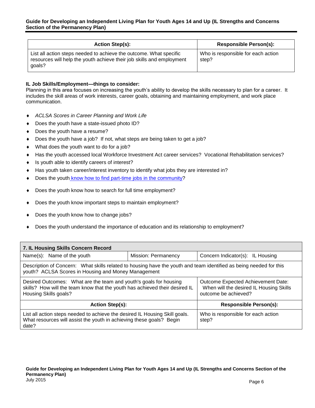| <b>Action Step(s):</b>                                                                                                                                | <b>Responsible Person(s):</b>               |
|-------------------------------------------------------------------------------------------------------------------------------------------------------|---------------------------------------------|
| List all action steps needed to achieve the outcome. What specific<br>resources will help the youth achieve their job skills and employment<br>goals? | Who is responsible for each action<br>step? |

#### **IL Job Skills/Employment—things to consider:**

Planning in this area focuses on increasing the youth's ability to develop the skills necessary to plan for a career. It includes the skill areas of work interests, career goals, obtaining and maintaining employment, and work place communication.

- *ACLSA Scores in Career Planning and Work Life*
- ◆ Does the youth have a state-issued photo ID?
- Does the youth have a resume?
- Does the youth have a job? If not, what steps are being taken to get a job?
- What does the youth want to do for a job?
- Has the youth accessed local Workforce Investment Act career services? Vocational Rehabilitation services?
- Is youth able to identify careers of interest?
- Has youth taken career/interest inventory to identify what jobs they are interested in?
- Does the youth [know how to find part-time jobs in the community?](http://www.caseylifeskills.org/pages/lp/lp_cp_employment.htm?id=2#competency5)
- Does the youth know how to search for full time employment?
- Does the youth know important steps to maintain employment?
- Does the youth know how to change jobs?
- Does the youth understand the importance of education and its relationship to employment?

| 7. IL Housing Skills Concern Record                                                                                                                                       |                     |                                                                                                       |  |
|---------------------------------------------------------------------------------------------------------------------------------------------------------------------------|---------------------|-------------------------------------------------------------------------------------------------------|--|
| Name(s): Name of the youth                                                                                                                                                | Mission: Permanency | Concern Indicator(s): IL Housing                                                                      |  |
| Description of Concern: What skills related to housing have the youth and team identified as being needed for this<br>youth? ACLSA Scores in Housing and Money Management |                     |                                                                                                       |  |
| Desired Outcomes: What are the team and youth's goals for housing<br>skills? How will the team know that the youth has achieved their desired IL<br>Housing Skills goals? |                     | Outcome Expected Achievement Date:<br>When will the desired IL Housing Skills<br>outcome be achieved? |  |
| <b>Action Step(s):</b><br><b>Responsible Person(s):</b>                                                                                                                   |                     |                                                                                                       |  |
| List all action steps needed to achieve the desired IL Housing Skill goals.<br>What resources will assist the youth in achieving these goals? Begin<br>date?              |                     | Who is responsible for each action<br>step?                                                           |  |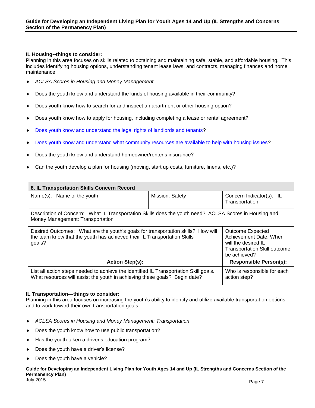#### **IL Housing--things to consider:**

Planning in this area focuses on skills related to obtaining and maintaining safe, stable, and affordable housing. This includes identifying housing options, understanding tenant lease laws, and contracts, managing finances and home maintenance.

- *ACLSA Scores in Housing and Money Management*
- Does the youth know and understand the kinds of housing available in their community?
- Does youth know how to search for and inspect an apartment or other housing option?
- Does youth know how to apply for housing, including completing a lease or rental agreement?
- [Does youth know and understand the legal rights of landlords and tenants?](http://www.caseylifeskills.org/pages/lp/lp_hm_housing.htm?id=23#competency109)
- [Does youth know and understand what community resources are available to help with housing issues?](http://www.caseylifeskills.org/pages/lp/lp_hm_housing.htm?id=23#competency110)
- Does the youth know and understand homeowner/renter's insurance?
- Can the youth develop a plan for housing (moving, start up costs, furniture, linens, etc.)?

| 8. IL Transportation Skills Concern Record                                                                                                                                                                                                                                                         |                 |                                             |
|----------------------------------------------------------------------------------------------------------------------------------------------------------------------------------------------------------------------------------------------------------------------------------------------------|-----------------|---------------------------------------------|
| Name(s): Name of the youth                                                                                                                                                                                                                                                                         | Mission: Safety | Concern Indicator(s): IL<br>Transportation  |
| Description of Concern: What IL Transportation Skills does the youth need? ACLSA Scores in Housing and<br>Money Management: Transportation                                                                                                                                                         |                 |                                             |
| Desired Outcomes: What are the youth's goals for transportation skills? How will<br>Outcome Expected<br>the team know that the youth has achieved their IL Transportation Skills<br>Achievement Date: When<br>goals?<br>will the desired IL<br><b>Transportation Skill outcome</b><br>be achieved? |                 |                                             |
| <b>Responsible Person(s):</b><br><b>Action Step(s):</b>                                                                                                                                                                                                                                            |                 |                                             |
| List all action steps needed to achieve the identified IL Transportation Skill goals.<br>What resources will assist the youth in achieving these goals? Begin date?                                                                                                                                |                 | Who is responsible for each<br>action step? |

#### **IL Transportation—things to consider:**

Planning in this area focuses on increasing the youth's ability to identify and utilize available transportation options, and to work toward their own transportation goals.

- *ACLSA Scores in Housing and Money Management: Transportation*
- Does the youth know how to use public transportation?
- ◆ Has the youth taken a driver's education program?
- Does the youth have a driver's license?
- Does the youth have a vehicle?

#### **Guide for Developing an Independent Living Plan for Youth Ages 14 and Up (IL Strengths and Concerns Section of the Permanency Plan)**

July 2015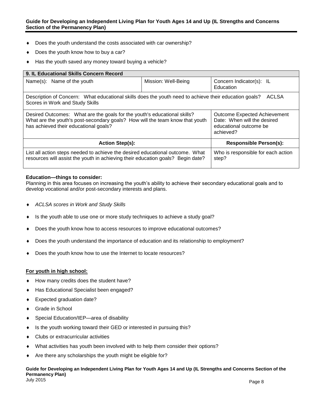#### **Guide for Developing an Independent Living Plan for Youth Ages 14 and Up (IL Strengths and Concerns Section of the Permanency Plan)**

- Does the youth understand the costs associated with car ownership?
- Does the youth know how to buy a car?
- Has the youth saved any money toward buying a vehicle?

| 9. IL Educational Skills Concern Record                                                                                                                                                                                                                                                                        |                     |                                             |  |
|----------------------------------------------------------------------------------------------------------------------------------------------------------------------------------------------------------------------------------------------------------------------------------------------------------------|---------------------|---------------------------------------------|--|
| Name(s): Name of the youth                                                                                                                                                                                                                                                                                     | Mission: Well-Being | Concern Indicator(s): IL<br>Education       |  |
| Description of Concern: What educational skills does the youth need to achieve their education goals?<br>ACLSA<br>Scores in Work and Study Skills                                                                                                                                                              |                     |                                             |  |
| Desired Outcomes: What are the goals for the youth's educational skills?<br><b>Outcome Expected Achievement</b><br>What are the youth's post-secondary goals? How will the team know that youth<br>Date: When will the desired<br>has achieved their educational goals?<br>educational outcome be<br>achieved? |                     |                                             |  |
| <b>Action Step(s):</b><br><b>Responsible Person(s):</b>                                                                                                                                                                                                                                                        |                     |                                             |  |
| List all action steps needed to achieve the desired educational outcome. What<br>resources will assist the youth in achieving their education goals? Begin date?                                                                                                                                               |                     | Who is responsible for each action<br>step? |  |

#### **Education—things to consider:**

Planning in this area focuses on increasing the youth's ability to achieve their secondary educational goals and to develop vocational and/or post-secondary interests and plans.

- *ACLSA scores in Work and Study Skills*
- Is the youth able to use one or more study techniques to achieve a study goal?
- Does the youth know how to access resources to improve educational outcomes?
- Does the youth understand the importance of education and its relationship to employment?
- Does the youth know how to use the Internet to locate resources?

#### **For youth in high school:**

- How many credits does the student have?
- Has Educational Specialist been engaged?
- Expected graduation date?
- Grade in School
- Special Education/IEP—area of disability
- Is the youth working toward their GED or interested in pursuing this?
- Clubs or extracurricular activities
- What activities has youth been involved with to help them consider their options?
- Are there any scholarships the youth might be eligible for?

#### **Guide for Developing an Independent Living Plan for Youth Ages 14 and Up (IL Strengths and Concerns Section of the Permanency Plan)** July 2015